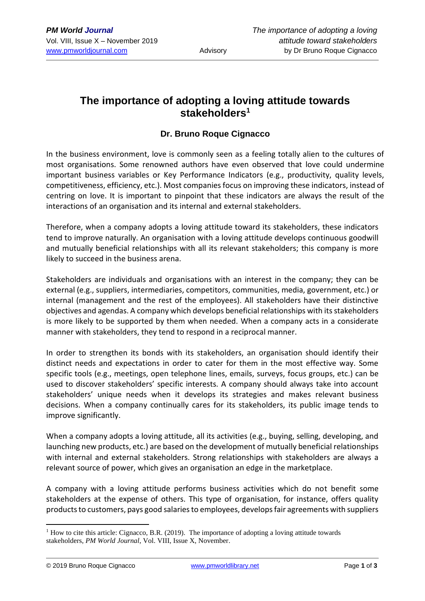## **The importance of adopting a loving attitude towards stakeholders<sup>1</sup>**

## **Dr. Bruno Roque Cignacco**

In the business environment, love is commonly seen as a feeling totally alien to the cultures of most organisations. Some renowned authors have even observed that love could undermine important business variables or Key Performance Indicators (e.g., productivity, quality levels, competitiveness, efficiency, etc.). Most companies focus on improving these indicators, instead of centring on love. It is important to pinpoint that these indicators are always the result of the interactions of an organisation and its internal and external stakeholders.

Therefore, when a company adopts a loving attitude toward its stakeholders, these indicators tend to improve naturally. An organisation with a loving attitude develops continuous goodwill and mutually beneficial relationships with all its relevant stakeholders; this company is more likely to succeed in the business arena.

Stakeholders are individuals and organisations with an interest in the company; they can be external (e.g., suppliers, intermediaries, competitors, communities, media, government, etc.) or internal (management and the rest of the employees). All stakeholders have their distinctive objectives and agendas. A company which develops beneficial relationships with its stakeholders is more likely to be supported by them when needed. When a company acts in a considerate manner with stakeholders, they tend to respond in a reciprocal manner.

In order to strengthen its bonds with its stakeholders, an organisation should identify their distinct needs and expectations in order to cater for them in the most effective way. Some specific tools (e.g., meetings, open telephone lines, emails, surveys, focus groups, etc.) can be used to discover stakeholders' specific interests. A company should always take into account stakeholders' unique needs when it develops its strategies and makes relevant business decisions. When a company continually cares for its stakeholders, its public image tends to improve significantly.

When a company adopts a loving attitude, all its activities (e.g., buying, selling, developing, and launching new products, etc.) are based on the development of mutually beneficial relationships with internal and external stakeholders. Strong relationships with stakeholders are always a relevant source of power, which gives an organisation an edge in the marketplace.

A company with a loving attitude performs business activities which do not benefit some stakeholders at the expense of others. This type of organisation, for instance, offers quality products to customers, pays good salaries to employees, develops fair agreements with suppliers

© 2019 Bruno Roque Cignacco [www.pmworldlibrary.net](http://www.pmworldlibrary.net/) Page **1** of **3**

 $1$  How to cite this article: Cignacco, B.R. (2019). The importance of adopting a loving attitude towards stakeholders, *PM World Journal*, Vol. VIII, Issue X, November.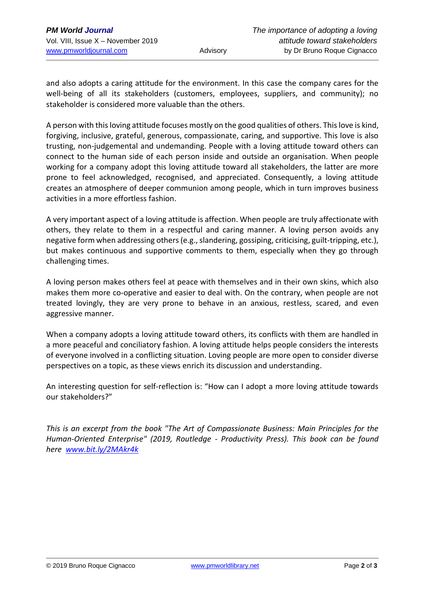and also adopts a caring attitude for the environment. In this case the company cares for the well-being of all its stakeholders (customers, employees, suppliers, and community); no stakeholder is considered more valuable than the others.

A person with this loving attitude focuses mostly on the good qualities of others. This love is kind, forgiving, inclusive, grateful, generous, compassionate, caring, and supportive. This love is also trusting, non-judgemental and undemanding. People with a loving attitude toward others can connect to the human side of each person inside and outside an organisation. When people working for a company adopt this loving attitude toward all stakeholders, the latter are more prone to feel acknowledged, recognised, and appreciated. Consequently, a loving attitude creates an atmosphere of deeper communion among people, which in turn improves business activities in a more effortless fashion.

A very important aspect of a loving attitude is affection. When people are truly affectionate with others, they relate to them in a respectful and caring manner. A loving person avoids any negative form when addressing others (e.g., slandering, gossiping, criticising, guilt-tripping, etc.), but makes continuous and supportive comments to them, especially when they go through challenging times.

A loving person makes others feel at peace with themselves and in their own skins, which also makes them more co-operative and easier to deal with. On the contrary, when people are not treated lovingly, they are very prone to behave in an anxious, restless, scared, and even aggressive manner.

When a company adopts a loving attitude toward others, its conflicts with them are handled in a more peaceful and conciliatory fashion. A loving attitude helps people considers the interests of everyone involved in a conflicting situation. Loving people are more open to consider diverse perspectives on a topic, as these views enrich its discussion and understanding.

An interesting question for self-reflection is: "How can I adopt a more loving attitude towards our stakeholders?"

*This is an excerpt from the book "The Art of Compassionate Business: Main Principles for the Human-Oriented Enterprise" (2019, Routledge - Productivity Press). This book can be found here [www.bit.ly/2MAkr4k](http://www.bit.ly/2MAkr4k)*